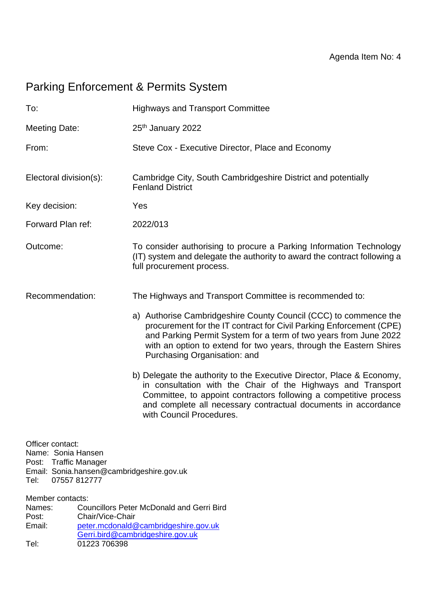# Parking Enforcement & Permits System

| To:                                                                                                                                     | <b>Highways and Transport Committee</b>                                                                                                                                                                                                                                                                                                                                                                                                                                                                                                                                                                                                                                                  |
|-----------------------------------------------------------------------------------------------------------------------------------------|------------------------------------------------------------------------------------------------------------------------------------------------------------------------------------------------------------------------------------------------------------------------------------------------------------------------------------------------------------------------------------------------------------------------------------------------------------------------------------------------------------------------------------------------------------------------------------------------------------------------------------------------------------------------------------------|
| <b>Meeting Date:</b>                                                                                                                    | 25th January 2022                                                                                                                                                                                                                                                                                                                                                                                                                                                                                                                                                                                                                                                                        |
| From:                                                                                                                                   | Steve Cox - Executive Director, Place and Economy                                                                                                                                                                                                                                                                                                                                                                                                                                                                                                                                                                                                                                        |
| Electoral division(s):                                                                                                                  | Cambridge City, South Cambridgeshire District and potentially<br><b>Fenland District</b>                                                                                                                                                                                                                                                                                                                                                                                                                                                                                                                                                                                                 |
| Key decision:                                                                                                                           | Yes                                                                                                                                                                                                                                                                                                                                                                                                                                                                                                                                                                                                                                                                                      |
| Forward Plan ref:                                                                                                                       | 2022/013                                                                                                                                                                                                                                                                                                                                                                                                                                                                                                                                                                                                                                                                                 |
| Outcome:                                                                                                                                | To consider authorising to procure a Parking Information Technology<br>(IT) system and delegate the authority to award the contract following a<br>full procurement process.                                                                                                                                                                                                                                                                                                                                                                                                                                                                                                             |
| Recommendation:                                                                                                                         | The Highways and Transport Committee is recommended to:<br>a) Authorise Cambridgeshire County Council (CCC) to commence the<br>procurement for the IT contract for Civil Parking Enforcement (CPE)<br>and Parking Permit System for a term of two years from June 2022<br>with an option to extend for two years, through the Eastern Shires<br>Purchasing Organisation: and<br>b) Delegate the authority to the Executive Director, Place & Economy,<br>in consultation with the Chair of the Highways and Transport<br>Committee, to appoint contractors following a competitive process<br>and complete all necessary contractual documents in accordance<br>with Council Procedures. |
| Officer contact:<br>Name: Sonia Hansen<br>Traffic Manager<br>Post:<br>Email: Sonia.hansen@cambridgeshire.gov.uk<br>Tel:<br>07557 812777 |                                                                                                                                                                                                                                                                                                                                                                                                                                                                                                                                                                                                                                                                                          |
| Member contacts:<br>Names:<br>Chair/Vice-Chair<br>Post:<br>Email:                                                                       | <b>Councillors Peter McDonald and Gerri Bird</b><br>peter.mcdonald@cambridgeshire.gov.uk<br>Gerri.bird@cambridgeshire.gov.uk                                                                                                                                                                                                                                                                                                                                                                                                                                                                                                                                                             |

Tel: 01223 706398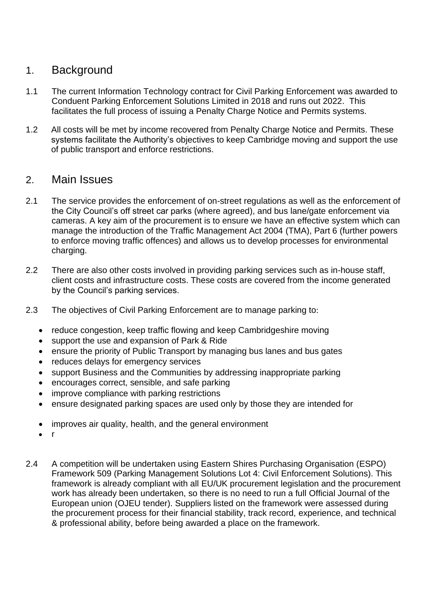## 1. Background

- 1.1 The current Information Technology contract for Civil Parking Enforcement was awarded to Conduent Parking Enforcement Solutions Limited in 2018 and runs out 2022. This facilitates the full process of issuing a Penalty Charge Notice and Permits systems.
- 1.2 All costs will be met by income recovered from Penalty Charge Notice and Permits. These systems facilitate the Authority's objectives to keep Cambridge moving and support the use of public transport and enforce restrictions.

### 2. Main Issues

- 2.1 The service provides the enforcement of on-street regulations as well as the enforcement of the City Council's off street car parks (where agreed), and bus lane/gate enforcement via cameras. A key aim of the procurement is to ensure we have an effective system which can manage the introduction of the Traffic Management Act 2004 (TMA), Part 6 (further powers to enforce moving traffic offences) and allows us to develop processes for environmental charging.
- 2.2 There are also other costs involved in providing parking services such as in-house staff, client costs and infrastructure costs. These costs are covered from the income generated by the Council's parking services.
- 2.3 The objectives of Civil Parking Enforcement are to manage parking to:
	- reduce congestion, keep traffic flowing and keep Cambridgeshire moving
	- support the use and expansion of Park & Ride
	- ensure the priority of Public Transport by managing bus lanes and bus gates
	- reduces delays for emergency services
	- support Business and the Communities by addressing inappropriate parking
	- encourages correct, sensible, and safe parking
	- improve compliance with parking restrictions
	- ensure designated parking spaces are used only by those they are intended for
	- improves air quality, health, and the general environment
	- r
- 2.4 A competition will be undertaken using Eastern Shires Purchasing Organisation (ESPO) Framework 509 (Parking Management Solutions Lot 4: Civil Enforcement Solutions). This framework is already compliant with all EU/UK procurement legislation and the procurement work has already been undertaken, so there is no need to run a full Official Journal of the European union (OJEU tender). Suppliers listed on the framework were assessed during the procurement process for their financial stability, track record, experience, and technical & professional ability, before being awarded a place on the framework.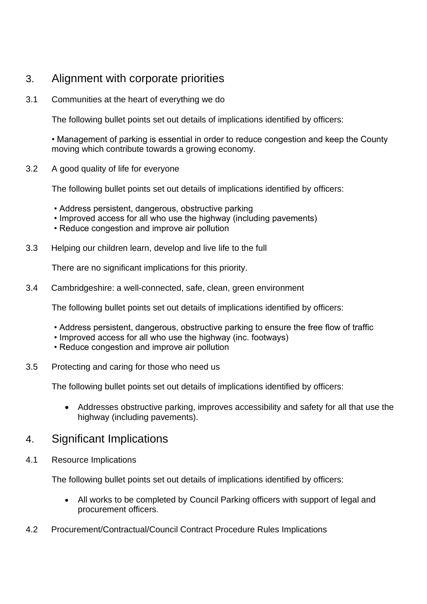## 3. Alignment with corporate priorities

3.1 Communities at the heart of everything we do

The following bullet points set out details of implications identified by officers:

• Management of parking is essential in order to reduce congestion and keep the County moving which contribute towards a growing economy.

3.2 A good quality of life for everyone

The following bullet points set out details of implications identified by officers:

- Address persistent, dangerous, obstructive parking
- Improved access for all who use the highway (including pavements)
- Reduce congestion and improve air pollution
- 3.3 Helping our children learn, develop and live life to the full

There are no significant implications for this priority.

3.4 Cambridgeshire: a well-connected, safe, clean, green environment

The following bullet points set out details of implications identified by officers:

- Address persistent, dangerous, obstructive parking to ensure the free flow of traffic
- Improved access for all who use the highway (inc. footways)
- Reduce congestion and improve air pollution
- 3.5 Protecting and caring for those who need us

The following bullet points set out details of implications identified by officers:

• Addresses obstructive parking, improves accessibility and safety for all that use the highway (including pavements).

#### 4. Significant Implications

4.1 Resource Implications

The following bullet points set out details of implications identified by officers:

- All works to be completed by Council Parking officers with support of legal and procurement officers.
- 4.2 Procurement/Contractual/Council Contract Procedure Rules Implications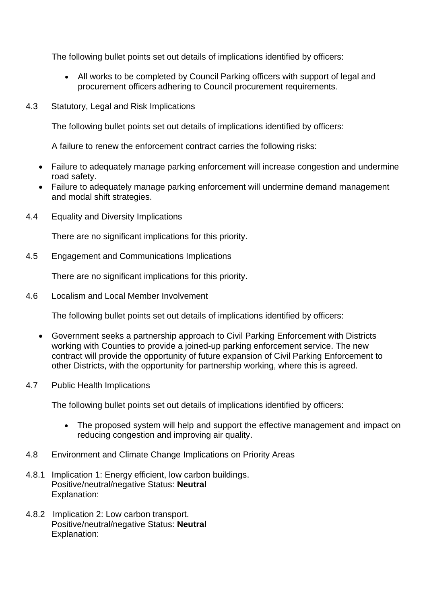The following bullet points set out details of implications identified by officers:

- All works to be completed by Council Parking officers with support of legal and procurement officers adhering to Council procurement requirements.
- 4.3 Statutory, Legal and Risk Implications

The following bullet points set out details of implications identified by officers:

A failure to renew the enforcement contract carries the following risks:

- Failure to adequately manage parking enforcement will increase congestion and undermine road safety.
- Failure to adequately manage parking enforcement will undermine demand management and modal shift strategies.
- 4.4 Equality and Diversity Implications

There are no significant implications for this priority.

4.5 Engagement and Communications Implications

There are no significant implications for this priority.

4.6 Localism and Local Member Involvement

The following bullet points set out details of implications identified by officers:

- Government seeks a partnership approach to Civil Parking Enforcement with Districts working with Counties to provide a joined-up parking enforcement service. The new contract will provide the opportunity of future expansion of Civil Parking Enforcement to other Districts, with the opportunity for partnership working, where this is agreed.
- 4.7 Public Health Implications

The following bullet points set out details of implications identified by officers:

- The proposed system will help and support the effective management and impact on reducing congestion and improving air quality.
- 4.8 Environment and Climate Change Implications on Priority Areas
- 4.8.1 Implication 1: Energy efficient, low carbon buildings. Positive/neutral/negative Status: **Neutral** Explanation:
- 4.8.2 Implication 2: Low carbon transport. Positive/neutral/negative Status: **Neutral** Explanation: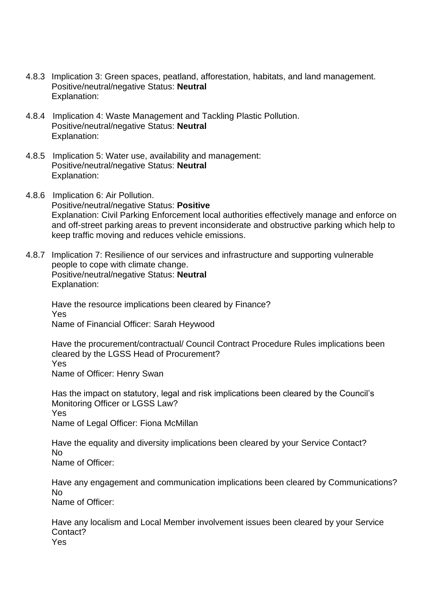- 4.8.3 Implication 3: Green spaces, peatland, afforestation, habitats, and land management. Positive/neutral/negative Status: **Neutral** Explanation:
- 4.8.4 Implication 4: Waste Management and Tackling Plastic Pollution. Positive/neutral/negative Status: **Neutral** Explanation:
- 4.8.5 Implication 5: Water use, availability and management: Positive/neutral/negative Status: **Neutral** Explanation:
- 4.8.6 Implication 6: Air Pollution. Positive/neutral/negative Status: **Positive** Explanation: Civil Parking Enforcement local authorities effectively manage and enforce on and off-street parking areas to prevent inconsiderate and obstructive parking which help to keep traffic moving and reduces vehicle emissions.
- 4.8.7 Implication 7: Resilience of our services and infrastructure and supporting vulnerable people to cope with climate change. Positive/neutral/negative Status: **Neutral** Explanation:

Have the resource implications been cleared by Finance? Yes Name of Financial Officer: Sarah Heywood

Have the procurement/contractual/ Council Contract Procedure Rules implications been cleared by the LGSS Head of Procurement? Yes Name of Officer: Henry Swan

Has the impact on statutory, legal and risk implications been cleared by the Council's Monitoring Officer or LGSS Law? Yes Name of Legal Officer: Fiona McMillan

Have the equality and diversity implications been cleared by your Service Contact? No

Name of Officer:

Have any engagement and communication implications been cleared by Communications? No

Name of Officer:

Have any localism and Local Member involvement issues been cleared by your Service Contact? Yes